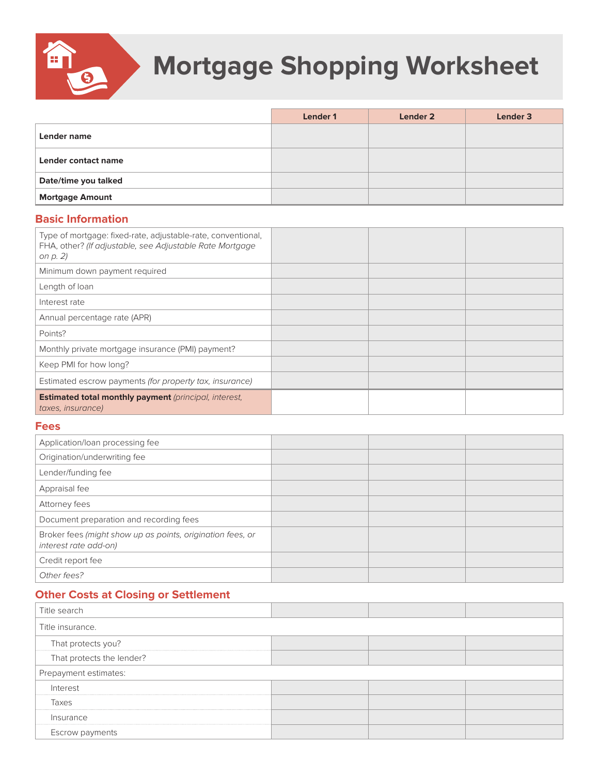

## **Mortgage Shopping Worksheet**

|                        | Lender 1 | Lender 2 | Lender 3 |
|------------------------|----------|----------|----------|
| Lender name            |          |          |          |
| Lender contact name    |          |          |          |
| Date/time you talked   |          |          |          |
| <b>Mortgage Amount</b> |          |          |          |

## **Basic Information**

| Type of mortgage: fixed-rate, adjustable-rate, conventional,<br>FHA, other? (If adjustable, see Adjustable Rate Mortgage<br>on p. 2) |  |  |
|--------------------------------------------------------------------------------------------------------------------------------------|--|--|
| Minimum down payment required                                                                                                        |  |  |
| Length of loan                                                                                                                       |  |  |
| Interest rate                                                                                                                        |  |  |
| Annual percentage rate (APR)                                                                                                         |  |  |
| Points?                                                                                                                              |  |  |
| Monthly private mortgage insurance (PMI) payment?                                                                                    |  |  |
| Keep PMI for how long?                                                                                                               |  |  |
| Estimated escrow payments (for property tax, insurance)                                                                              |  |  |
| <b>Estimated total monthly payment</b> (principal, interest,<br>taxes, insurance)                                                    |  |  |

## **Fees**

| Application/loan processing fee                                                     |  |  |
|-------------------------------------------------------------------------------------|--|--|
| Origination/underwriting fee                                                        |  |  |
| Lender/funding fee                                                                  |  |  |
| Appraisal fee                                                                       |  |  |
| Attorney fees                                                                       |  |  |
| Document preparation and recording fees                                             |  |  |
| Broker fees (might show up as points, origination fees, or<br>interest rate add-on) |  |  |
| Credit report fee                                                                   |  |  |
| Other fees?                                                                         |  |  |

## **Other Costs at Closing or Settlement**

| Title search              |  |  |  |
|---------------------------|--|--|--|
| Title insurance.          |  |  |  |
| That protects you?        |  |  |  |
| That protects the lender? |  |  |  |
| Prepayment estimates:     |  |  |  |
| Interest                  |  |  |  |
| Taxes                     |  |  |  |
| Insurance                 |  |  |  |
| Escrow payments           |  |  |  |